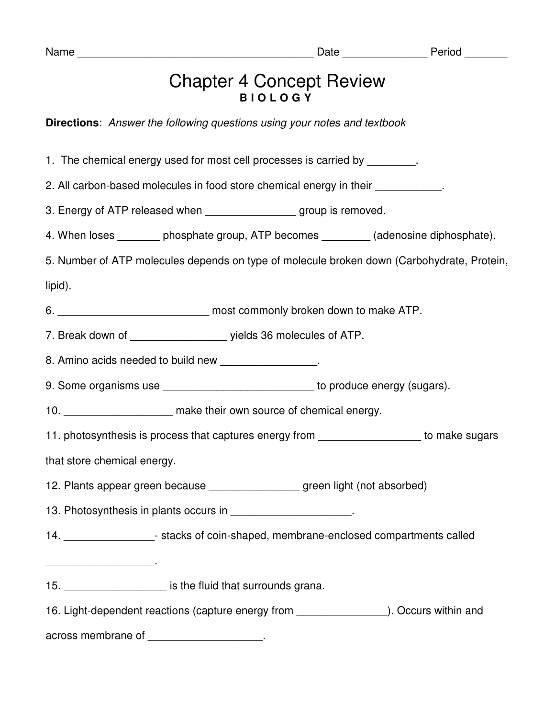## Chapter 4 Concept Review **B I O L O G Y**

**Directions**: Answer the following questions using your notes and textbook

1. The chemical energy used for most cell processes is carried by

2. All carbon-based molecules in food store chemical energy in their

3. Energy of ATP released when example are group is removed.

4. When loses bhosphate group, ATP becomes (adenosine diphosphate).

5. Number of ATP molecules depends on type of molecule broken down (Carbohydrate, Protein, lipid).

6. \_\_\_\_\_\_\_\_\_\_\_\_\_\_\_\_\_\_\_\_\_\_\_\_\_ most commonly broken down to make ATP.

7. Break down of  $\qquad \qquad$  yields 36 molecules of ATP.

8. Amino acids needed to build new \_\_\_\_\_\_\_\_\_\_\_\_\_\_\_\_.

9. Some organisms use \_\_\_\_\_\_\_\_\_\_\_\_\_\_\_\_\_\_\_\_\_\_\_\_\_\_\_\_\_ to produce energy (sugars).

10. **If the absolut in the make their own source of chemical energy.** 

11. photosynthesis is process that captures energy from the state of make sugars

that store chemical energy.

\_\_\_\_\_\_\_\_\_\_\_\_\_\_\_\_\_\_.

12. Plants appear green because \_\_\_\_\_\_\_\_\_\_\_\_\_\_\_ green light (not absorbed)

13. Photosynthesis in plants occurs in  $\blacksquare$ 

14. \_\_\_\_\_\_\_\_\_\_\_\_\_\_\_- stacks of coin-shaped, membrane-enclosed compartments called

## 15. \_\_\_\_\_\_\_\_\_\_\_\_\_\_\_\_\_ is the fluid that surrounds grana.

16. Light-dependent reactions (capture energy from \_\_\_\_\_\_\_\_\_\_\_\_\_\_\_\_\_\_\_\_\_\_\_\_\_\_\_\_\_\_). Occurs within and

across membrane of \_\_\_\_\_\_\_\_\_\_\_\_\_\_\_\_\_\_\_.